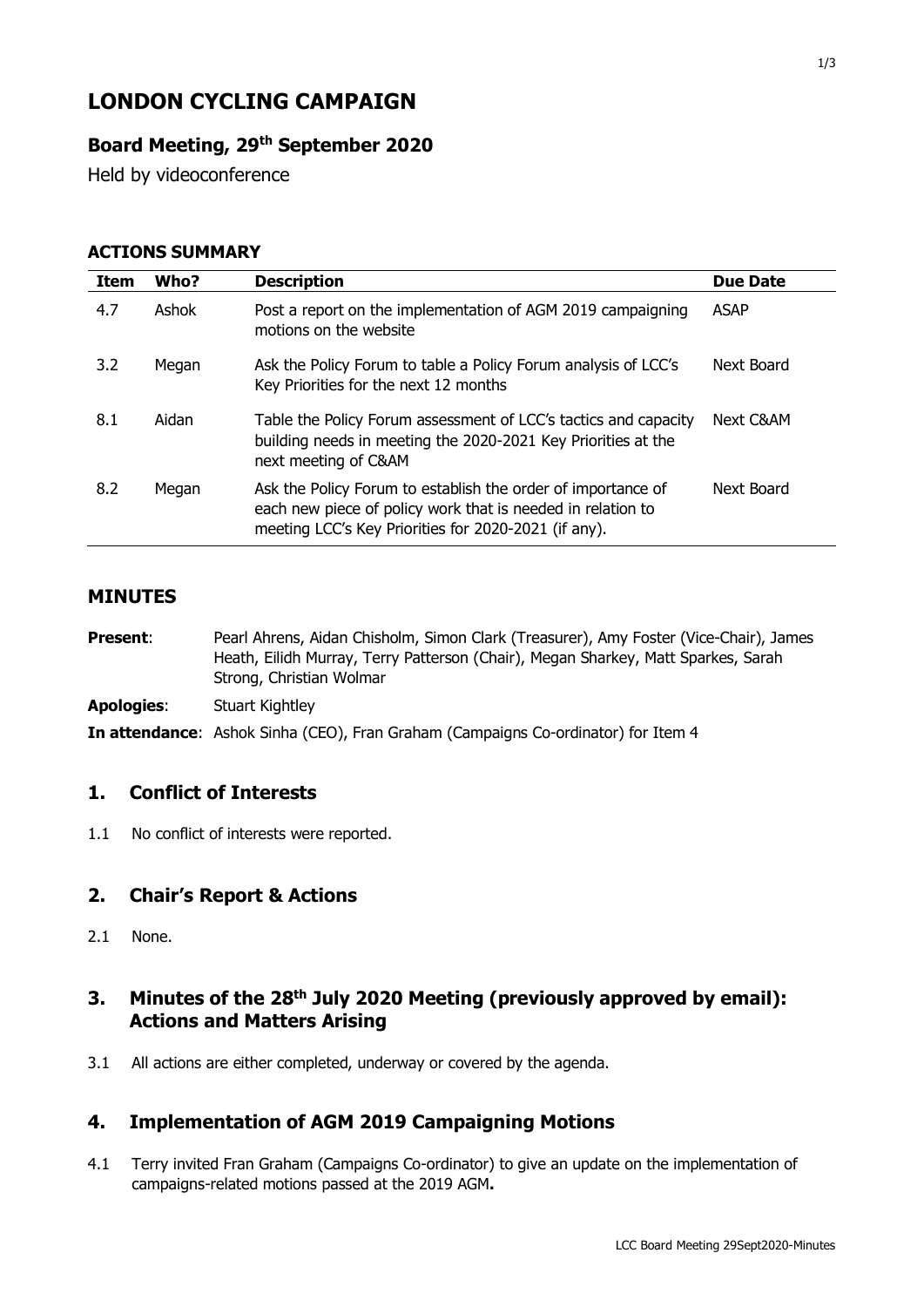# **LONDON CYCLING CAMPAIGN**

# **Board Meeting, 29th September 2020**

Held by videoconference

#### **ACTIONS SUMMARY**

| <b>Item</b> | Who?  | <b>Description</b>                                                                                                                                                                  | <b>Due Date</b> |
|-------------|-------|-------------------------------------------------------------------------------------------------------------------------------------------------------------------------------------|-----------------|
| 4.7         | Ashok | Post a report on the implementation of AGM 2019 campaigning<br>motions on the website                                                                                               | <b>ASAP</b>     |
| 3.2         | Megan | Ask the Policy Forum to table a Policy Forum analysis of LCC's<br>Key Priorities for the next 12 months                                                                             | Next Board      |
| 8.1         | Aidan | Table the Policy Forum assessment of LCC's tactics and capacity<br>building needs in meeting the 2020-2021 Key Priorities at the<br>next meeting of C&AM                            | Next C&AM       |
| 8.2         | Megan | Ask the Policy Forum to establish the order of importance of<br>each new piece of policy work that is needed in relation to<br>meeting LCC's Key Priorities for 2020-2021 (if any). | Next Board      |

#### **MINUTES**

| <b>Present:</b>   | Pearl Ahrens, Aidan Chisholm, Simon Clark (Treasurer), Amy Foster (Vice-Chair), James<br>Heath, Eilidh Murray, Terry Patterson (Chair), Megan Sharkey, Matt Sparkes, Sarah<br>Strong, Christian Wolmar |
|-------------------|--------------------------------------------------------------------------------------------------------------------------------------------------------------------------------------------------------|
| <b>Apologies:</b> | Stuart Kightley                                                                                                                                                                                        |

**In attendance**: Ashok Sinha (CEO), Fran Graham (Campaigns Co-ordinator) for Item 4

## **1. Conflict of Interests**

1.1 No conflict of interests were reported.

## **2. Chair's Report & Actions**

2.1 None.

# **3. Minutes of the 28th July 2020 Meeting (previously approved by email): Actions and Matters Arising**

3.1 All actions are either completed, underway or covered by the agenda.

# **4. Implementation of AGM 2019 Campaigning Motions**

4.1 Terry invited Fran Graham (Campaigns Co-ordinator) to give an update on the implementation of campaigns-related motions passed at the 2019 AGM**.**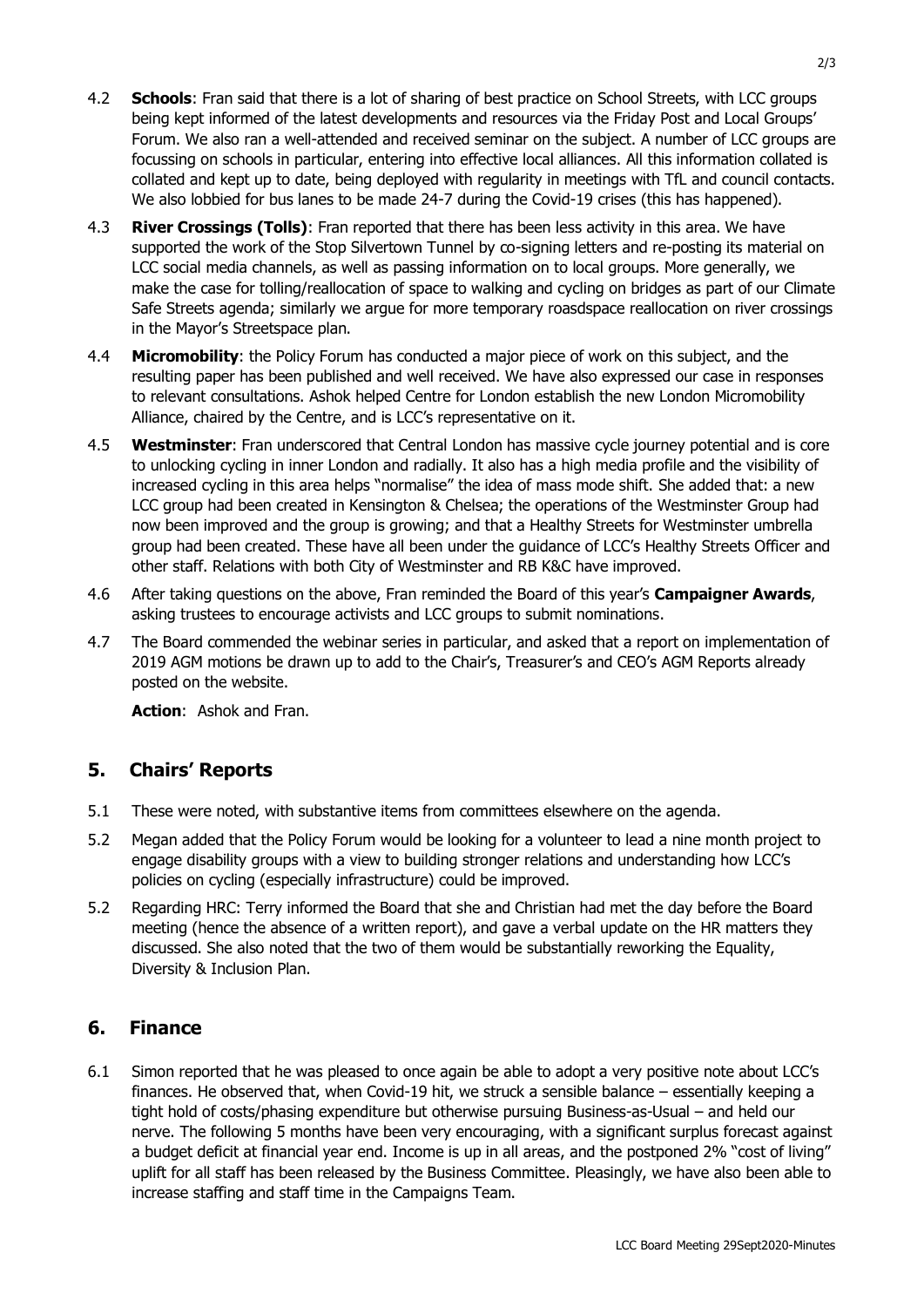- 4.2 **Schools**: Fran said that there is a lot of sharing of best practice on School Streets, with LCC groups being kept informed of the latest developments and resources via the Friday Post and Local Groups' Forum. We also ran a well-attended and received seminar on the subject. A number of LCC groups are focussing on schools in particular, entering into effective local alliances. All this information collated is collated and kept up to date, being deployed with regularity in meetings with TfL and council contacts. We also lobbied for bus lanes to be made 24-7 during the Covid-19 crises (this has happened).
- 4.3 **River Crossings (Tolls)**: Fran reported that there has been less activity in this area. We have supported the work of the Stop Silvertown Tunnel by co-signing letters and re-posting its material on LCC social media channels, as well as passing information on to local groups. More generally, we make the case for tolling/reallocation of space to walking and cycling on bridges as part of our Climate Safe Streets agenda; similarly we argue for more temporary roasdspace reallocation on river crossings in the Mayor's Streetspace plan.
- 4.4 **Micromobility**: the Policy Forum has conducted a major piece of work on this subject, and the resulting paper has been published and well received. We have also expressed our case in responses to relevant consultations. Ashok helped Centre for London establish the new London Micromobility Alliance, chaired by the Centre, and is LCC's representative on it.
- 4.5 **Westminster**: Fran underscored that Central London has massive cycle journey potential and is core to unlocking cycling in inner London and radially. It also has a high media profile and the visibility of increased cycling in this area helps "normalise" the idea of mass mode shift. She added that: a new LCC group had been created in Kensington & Chelsea; the operations of the Westminster Group had now been improved and the group is growing; and that a Healthy Streets for Westminster umbrella group had been created. These have all been under the guidance of LCC's Healthy Streets Officer and other staff. Relations with both City of Westminster and RB K&C have improved.
- 4.6 After taking questions on the above, Fran reminded the Board of this year's **Campaigner Awards**, asking trustees to encourage activists and LCC groups to submit nominations.
- 4.7 The Board commended the webinar series in particular, and asked that a report on implementation of 2019 AGM motions be drawn up to add to the Chair's, Treasurer's and CEO's AGM Reports already posted on the website.

**Action**: Ashok and Fran.

#### **5. Chairs' Reports**

- 5.1 These were noted, with substantive items from committees elsewhere on the agenda.
- 5.2 Megan added that the Policy Forum would be looking for a volunteer to lead a nine month project to engage disability groups with a view to building stronger relations and understanding how LCC's policies on cycling (especially infrastructure) could be improved.
- 5.2 Regarding HRC: Terry informed the Board that she and Christian had met the day before the Board meeting (hence the absence of a written report), and gave a verbal update on the HR matters they discussed. She also noted that the two of them would be substantially reworking the Equality, Diversity & Inclusion Plan.

# **6. Finance**

6.1 Simon reported that he was pleased to once again be able to adopt a very positive note about LCC's finances. He observed that, when Covid-19 hit, we struck a sensible balance – essentially keeping a tight hold of costs/phasing expenditure but otherwise pursuing Business-as-Usual – and held our nerve. The following 5 months have been very encouraging, with a significant surplus forecast against a budget deficit at financial year end. Income is up in all areas, and the postponed 2% "cost of living" uplift for all staff has been released by the Business Committee. Pleasingly, we have also been able to increase staffing and staff time in the Campaigns Team.